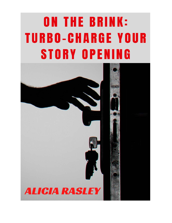# **ON THE BRINK: TURBO-CHARGE YOUR STORY OPENING**

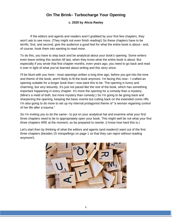### **On The Brink– Turbocharge Your Opening**

#### **c. 2020 by Alicia Rasley**

If the editors and agents and readers aren't grabbed by your first few chapters, they won't ask to see more. (They might not even finish reading!) So these chapters have to be terrific, first, and second, give the audience a good feel for what the entire book is about-- and, of course, hook them into wanting to read more.

To do this, you have to step back and be analytical about your book's opening. Some writers even leave writing this section till last, when they know what the entire book is about. But especially if you wrote that first chapter months, even years ago, you need to go back and read it over in light of what you've learned about writing and this story since.

I'll be blunt with you here-- most openings written a long time ago, before you got into the tone and theme of the book, aren't likely to fit the book anymore. I'm facing this now-- I crafted an opening suitable for a longer book than I now want this to be. The opening is funny and charming, but very leisurely. It's just not paced like the rest of the book, which has something important happening in every chapter. It's more the opening for a comedy than a mystery. (Mine's a meld of both, but more mystery than comedy.) So I'm going to be going back and sharpening the opening, keeping the basic events but cutting back on the extended comic riffs. I'm also going to do more to set up my internal protagonist theme of "a woman regaining control of her life after a trauma."

So I'm inviting you to do the same-- to put on your analytical hat and examine what your first three chapters need to be to appropriately open your book. This might well be not what your first three chapters ARE at the moment, so be prepared to rewrite. (I know how hard this is.)

Let's start then by thinking of what the editors and agents (and readers!) want out of the first three chapters (besides 15 misspellings on page 1 so that they can reject without reading anymore!).

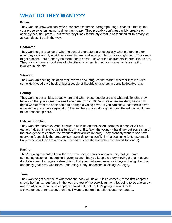## **WHAT DO THEY WANT???**

#### **Prose**:

They want to know you can write a coherent sentence, paragraph, page, chapter-- that is, that your prose style isn't going to drive them crazy. They probably don't need wildly creative or achingly beautiful prose… but rather they'll look for the style that is best suited for this story, or at least doesn't get in the way.

#### **Character:**

They want to get a sense of who the central characters are, especially what matters to them, what they care about, what their strengths are, and what problems those might bring. They want to get a sense-- but probably no more than a sense-- of what the characters' internal issues are. They want to have a good idea of what the characters' immediate motivation is for getting involved in this plot.

#### **Situation:**

They want an opening situation that involves and intrigues the reader, whether that includes some Hollywood-style hook or just a couple of likeable characters in some believable jam.

#### **Setting:**

They want to get an idea about where and when these people are and what relationship they have with that place (like in a small southern town in 1964-- she's a new resident; he's a civil rights worker from the north come to arrange a voting drive). If you can show that there's some issue in this place (like segregation) that will be explored during the book, the editors would like to see that set up here.

#### **External Conflict**:

They want the book's external conflict to be initiated fairly soon, perhaps in chapter 2 if not earlier. It doesn't have to be the full-blown conflict (say, the voting-rights drive) but some sign of the emergence of conflict (the freedom-rider arrives in town). They probably want to see how everyone (especially the protagonist) responds to the conflict in the beginning (this response is likely to be less than the response needed to solve the conflict-- save that till the end. :)

#### **Pacing:**

They're going to want to know that you can pace a chapter and a scene, that you have something essential happening in every scene, that you keep the story moving along, that you don't stop dead for pages of description, that your dialogue has a point beyond being charming and funny (that's my weakness-- charming, funny, nonessential dialogue... sigh).

#### **Tone:**

They want to get a sense of what tone the book will have. If it's a comedy, these first chapters should be funny... but funny in the way the rest of the book is funny. If it's going to be a leisurely, anecdotal book, then these chapters should set that up. If it's going to rival Arnold Schwarzenegger for action, then they'll want to get on that roller coaster on page 1.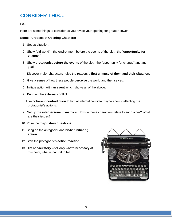## **CONSIDER THIS…**

So....

Here are some things to consider as you revise your opening for greater power:

#### **Some Purposes of Opening Chapters:**

- 1. Set up situation.
- 2. Show "old world"-- the environment before the events of the plot– the "**opportunity for change**."
- 3. Show **protagonist before the events** of the plot-- the "opportunity for change" and any goal.
- 4. Discover major characters– give the readers a **first glimpse of them and their situation**.
- 5. Give a sense of how these people **perceive** the world and themselves.
- 6. Initiate action with an **event** which shows all of the above.
- 7. Bring on the **external** conflict.
- 8. Use **coherent contradiction** to hint at internal conflict– maybe show it affecting the protagonist's actions.
- 9. Set up the **interpersonal dynamics**. How do these characters relate to each other? What are their issues?
- 10. Pose the major **story questions**.
- 11. Bring on the antagonist and his/her **initiating action**.
- 12. Start the protagonist's **action/reaction**.
- 13. Hint at **backstory** tell only what's necessary at this point, what is natural to tell.

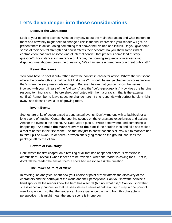## **Let's delve deeper into those considerations-**

#### **Discover the Characters:**

Look at your opening scenes. What do they say about the main characters and what matters to them and how they might need to change? This is the first impression your reader will get, so present them in action, doing something that shows their values and issues. Do you give some sense of their central strength and how it affects their actions? Do you show some kind of contradiction that hints at some kind of internal conflict, that presents some kind of story question? (For instance, in **Lawrence of Arabia**, the opening sequence of interviews with disputing funeral-goers poses the questions, "Was Lawrence a great hero or a great publicist?"

#### **Reveal the Issues:**

You don't have to spell it out– rather show the conflict in character action. What's the first scene where the booklength external conflict first arises? It should be early– chapter two or earlier– as that's when the story really gets engaged. But even before that you can show the issues involved with your glimpse of the "old world" and the "before-protagonist". How does the heroine respond to minor racism, before she's confronted with the major racism that is the external conflict? Remember to leave space for change here– if she responds with perfect heroism right away, she doesn't have a lot of growing room.

#### **Invent Events:**

Scenes are units of action based around actual events. Don't wimp out with a flashback or a long scene of musing. Center the opening scenes on the characters' experiences and actions. Anchor the event in the setting. As Kate Moore puts it, "We're somewhere, and something is happening." **And make the event relevant to the plot!** If the heroine trips and falls and makes a fool of herself in the first scene, use that not just to show that she's clumsy but to motivate her to take up Tae Kwon Do or ballet– or when she's lying there on the ground, she sees the package left by the villain.

#### **Beware of Backstory:**

Don't waste the first chapter on a retelling of all that has happened before. "Exposition is ammunition"-- reveal it when it needs to be revealed, when the reader is asking for it. That is, don't tell the reader the answer before she's had reason to ask the question.

#### **The Power of Point of View:**

In revising, be analytical about how your choice of point of view affects the discovery of the characters and the portrayal of the world and their perceptions. Can you show the heroine's blind spot or let the reader know the hero has a secret (but not what it is)? Can you show that she is especially curious, or that he sees life as a series of battles? Try to stay in one point of view long enough so that the reader can truly experience the world from this character's perspective– this might mean the entire scene is in one pov.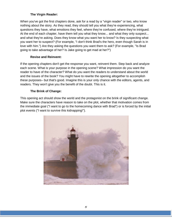#### **The Virgin Reader:**

When you've got the first chapters done, ask for a read by a "virgin reader" or two, who know nothing about the story. As they read, they should tell you what they're experiencing, what questions they have, what emotions they feel, where they're confused, where they're intrigued. At the end of each chapter, have them tell you what they know... and what they only suspect... and what they're asking. Does they know what you want her to know? Is they suspecting what you want her to suspect? (For example, "I don't think Brad's the hero, even though Sarah is in love with him.") Are they asking the questions you want them to ask? (For example, "Is Brad going to take advantage of her? Is Jake going to get mad at her?")

#### **Revise and Reinvent:**

If the opening chapters don't get the response you want, reinvent them. Step back and analyze each scene. What is your purpose in the opening scene? What impression do you want the reader to have of the character? What do you want the readers to understand about the world and the issues of the book? You might have to rewrite the opening altogether to accomplish these purposes– but that's good. Imagine this is your only chance with the editors, agents, and readers. They won't give you the benefit of the doubt. This is it.

#### **The Brink of Change:**

This opening act should show the world and the protagonist on the brink of significant change. Make sure the characters have reason to take on the plot, whether that motivation comes from the immediate goal ("I want to go to the homecoming dance with Brad") or is forced by the initial plot events ("I want to survive this kidnapping!").

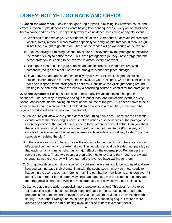## **DONE? NOT YET. GO BACK AND CHECK-**

**1. Check for Coherence**: Look for plot gaps, logic lapses, a missing link between cause and effect. A coherent plot depends on events having later consequences. Every action must have both a cause and an effect. Be especially wary of coincidence as a cause of any plot event.

- A. What has to happen as you've set up the situation? Secret outed, liar revealed, treasure located, family restored, what? Watch especially for dangling plot threads. If there's a gun in Act One, it ought to go off in Act Three, or the reader will be wondering at the misfire.
- B. Look especially for missing actions, revelations, discoveries by the protagonist, because the reader is likely to notice those. This is the protagonist's journey– never forget that the active protagonist is going to be involved in almost every plot event.
- C. It's a good idea to outline your subplots and make sure all of them have resolved somehow (though the resolution can be ambiguous and take place offstage).
- D. If you have an antagonist, and especially if you have a villain, it's a good exercise to outline his/her storyline too. What's his motivation, what's his goal, what's his conflict? How does she respond to the protagonist's actions? Don't have the villain just sitting around waiting to be defeated; make the villainy a continuing source of conflict for the protagonist.

**2. Scene Dynamics:** Pacing is a function of how many irrevocable events happen in a sequence. The best way to improve pacing is to put at least one irrevocable event in every scene. *Irrevocable* means having an effect on the course of the plot. This doesn't have to be a cataclysm– it can be a conversation that leads to an alliance, a revelation, a meeting. The significance doesn't have to be clear immediately.

- A. Make sure you know where your external plot turning points are. Those are the essential events, where the plot changes because of the actions or experiences of the protagonist. Often they come at the end of a sequence of three or four scenes of setup. Can you show the action building until the tension is so great that the plot must turn? (By the way, an outline of the scenes and their essential irrevocable events is a good way to start writing a synopsis or revising the plot.)
- B. If there is a love story in here, go over the romance turning points for coherence, causeeffect, and connection to the external plot. The two plots should be braided, not parallel, so that each romantic turning point has a major effect on the external plot. Remember the romantic purpose: These two people are on a journey to love, and they need to grow and change, so at the end they will have earned the love you have waiting for them.
- C. Strong plots depend on strong scenes, so outline the scenes you know you need and see how you can increase their drama. Start with the scene seed– what you know needs to happen in the scene (such as "heroine must find out that her new lover is an undercover FBI agent"). List three or four different ways this can happen, given the scope of the story and the protagonist's character. Which is most dramatic, and how can you use it plausibly?
- D. Can you add more action, especially more protagonist action? This doesn't have to be "plot-affecting action" but should have some dramatic purpose, such as to prepare the protagonist for some important event. Can you increase the vividness of events through setting? Think about Rocky– he could have punched a punching bag, but there's more drama and character in him punching away at a side of beef in a meat freezer.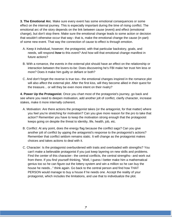**3. The Emotional Arc**. Make sure every event has some emotional consequences or some effect on the internal journey. This is especially important during the time of rising conflict. The emotional arc of the story depends on the link between cause (event) and effect (emotional change), but don't stop there. Make sure the emotional change leads to some action or decision that wouldn't otherwise occur that way– that is, make the emotional change the cause (in part) of some new event. That way the connection of cause to effect is through emotion.

- A. Keep it individual, however; the protagonist, with that particular backstory, goals, and needs, will respond *how* to this event? And how will that emotional change manifest in future actions?
- B. With a romance, the events in the external plot should have an effect on the relationship or interaction between the lovers-to-be: Does discovering he's FBI make her trust him less or more? Does it make him guilty or defiant or both?
- C. And don't forget the reverse is true too– the emotional changes inspired in the romance plot will also affect the external plot. After the first kiss, will they become allied in their quest for the treasure... or will they be even more intent on their rivalry?

**4. Power Up the Protagonist**. Once you chart most of the protagonist's journey, go back and see where you need to deepen motivation, add another jolt of conflict, clarify character, increase stakes, make it more internally coherent.

- A. Motivation: Are there actions the protagonist takes (or the antagonist, for that matter) where you feel you're stretching for motivation? Can you give more reason for the pro to take that action? Remember you have to keep the motivation strong enough that the protagooist keeps going on despite the threat to identity, life, health, job, etc.
- B. Conflict: At any point, does the energy flag because the conflict sags? Can you give another jolt of conflict by upping the antagonist's response to the protagonist's actions? Remember that conflict seldom remains static. It will change as the protagonist makes choices and takes actions to deal with it.
- C. Character: Is the protagonist overburdened with traits and overloaded with strengths? You can't make a believable protagonist if you just keep layering on new skills and problems. Find the center of this character– the central conflicts, the central strengths– and work out from there. If you find yourself thinking, "Well, I guess I better make him a mathematical genius too so he can figure out the lottery system and win a million so he can buy the house he needs..." think again. Go back to the central person and find how THAT PERSON would manage to buy a house if he needs one. Accept the reality of your protagonist, which includes the limitations, and use that to individualize the plot.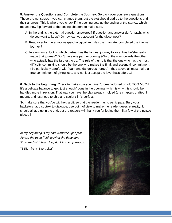**5. Answer the Questions and Complete the Journey.** Go back over your story questions. These are not sacred-- you can change them, but the plot should add up to the questions and their answers. This is where you check if the opening sets up the ending of the story… which means now flip forward to the ending chapters to make sure.

- A. In the end, is the external question answered? If question and answer don't match, which do you want to keep? Or how can you account for the disconnect?
- B. Read over for the emotional/psychological arc. Has the charcater completed the internal journey?
- C. In a romance, look to which partner has the longest journey to love. Has he/she really made that journey? Don't have one partner coming 90% of the way towards the other, who actually has the farthest to go. The rule of thumb is that the one who has the most difficulty committing should be the one who makes the final, and essential, commitment. (Be particularly careful with "dark and dangerous heroes"-- they above all must make a true commitment of giving love, and not just accept the love that's offered.)

**6. Back to the beginning**: Check to make sure you haven't foreshadowed or told TOO MUCH. It's a delicate balance to get 'just enough' done in the opening, which is why this should be handled more in revision. That way you have the clay already molded (the chapters drafted, I mean), and just need to chip and sculpt till it's perfect.

So make sure that you've withheld a bit, so that the reader has to participate. Bury your backstory, add subtext to dialogue, use point of view to make the reader guess at reality. It should all add up in the end, but the readers will thank you for letting them fit a few of the puzzle pieces in.

*In my beginning is my end. Now the light falls Across the open field, leaving the deep lane Shuttered with branches, dark in the afternoon.*

TS Eliot, from "East Coker"